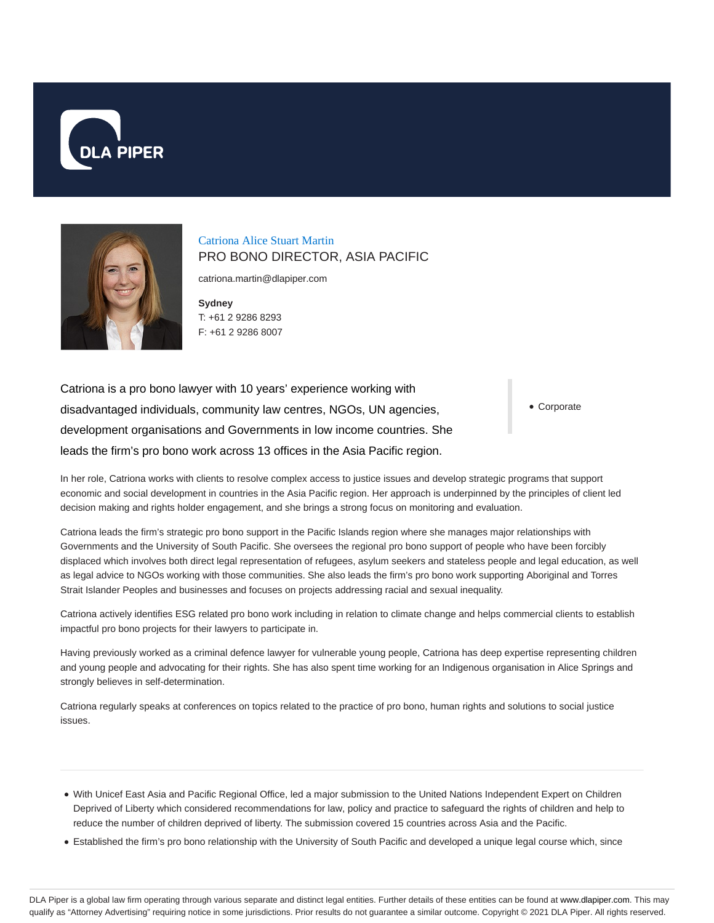



# Catriona Alice Stuart Martin PRO BONO DIRECTOR, ASIA PACIFIC

catriona.martin@dlapiper.com

**Sydney** T: +61 2 9286 8293 F: +61 2 9286 8007

Catriona is a pro bono lawyer with 10 years' experience working with disadvantaged individuals, community law centres, NGOs, UN agencies, development organisations and Governments in low income countries. She leads the firm's pro bono work across 13 offices in the Asia Pacific region.

Corporate

In her role, Catriona works with clients to resolve complex access to justice issues and develop strategic programs that support economic and social development in countries in the Asia Pacific region. Her approach is underpinned by the principles of client led decision making and rights holder engagement, and she brings a strong focus on monitoring and evaluation.

Catriona leads the firm's strategic pro bono support in the Pacific Islands region where she manages major relationships with Governments and the University of South Pacific. She oversees the regional pro bono support of people who have been forcibly displaced which involves both direct legal representation of refugees, asylum seekers and stateless people and legal education, as well as legal advice to NGOs working with those communities. She also leads the firm's pro bono work supporting Aboriginal and Torres Strait Islander Peoples and businesses and focuses on projects addressing racial and sexual inequality.

Catriona actively identifies ESG related pro bono work including in relation to climate change and helps commercial clients to establish impactful pro bono projects for their lawyers to participate in.

Having previously worked as a criminal defence lawyer for vulnerable young people, Catriona has deep expertise representing children and young people and advocating for their rights. She has also spent time working for an Indigenous organisation in Alice Springs and strongly believes in self-determination.

Catriona regularly speaks at conferences on topics related to the practice of pro bono, human rights and solutions to social justice issues.

- With Unicef East Asia and Pacific Regional Office, led a major submission to the United Nations Independent Expert on Children Deprived of Liberty which considered recommendations for law, policy and practice to safeguard the rights of children and help to reduce the number of children deprived of liberty. The submission covered 15 countries across Asia and the Pacific.
- Established the firm's pro bono relationship with the University of South Pacific and developed a unique legal course which, since

DLA Piper is a global law firm operating through various separate and distinct legal entities. Further details of these entities can be found at www.dlapiper.com. This may qualify as "Attorney Advertising" requiring notice in some jurisdictions. Prior results do not guarantee a similar outcome. Copyright © 2021 DLA Piper. All rights reserved.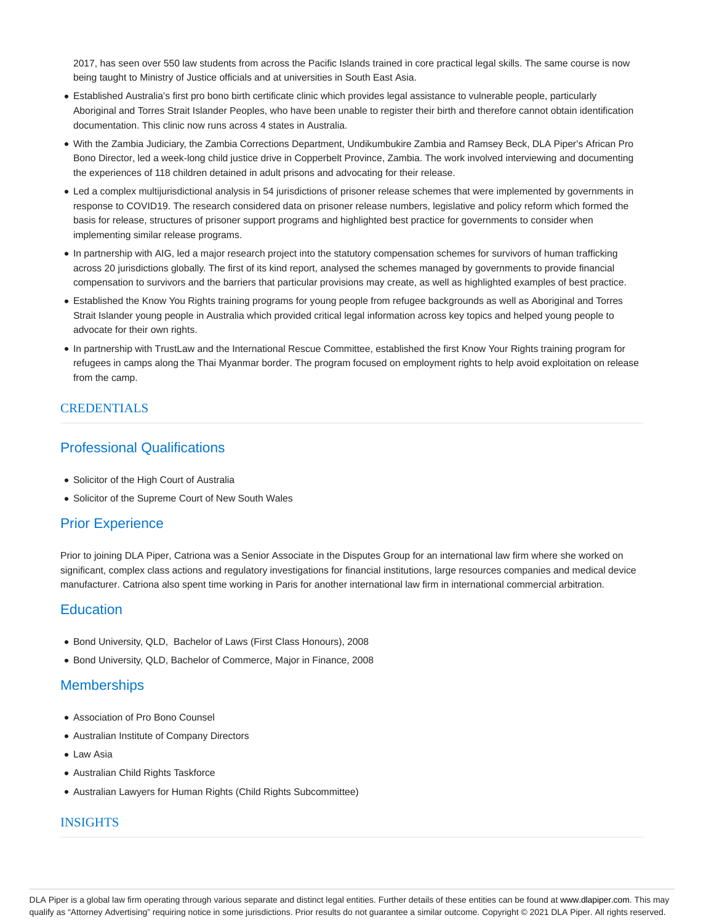2017, has seen over 550 law students from across the Pacific Islands trained in core practical legal skills. The same course is now being taught to Ministry of Justice officials and at universities in South East Asia.

- Established Australia's first pro bono birth certificate clinic which provides legal assistance to vulnerable people, particularly Aboriginal and Torres Strait Islander Peoples, who have been unable to register their birth and therefore cannot obtain identification documentation. This clinic now runs across 4 states in Australia.
- With the Zambia Judiciary, the Zambia Corrections Department, Undikumbukire Zambia and Ramsey Beck, DLA Piper's African Pro Bono Director, led a week-long child justice drive in Copperbelt Province, Zambia. The work involved interviewing and documenting the experiences of 118 children detained in adult prisons and advocating for their release.
- Led a complex multijurisdictional analysis in 54 jurisdictions of prisoner release schemes that were implemented by governments in response to COVID19. The research considered data on prisoner release numbers, legislative and policy reform which formed the basis for release, structures of prisoner support programs and highlighted best practice for governments to consider when implementing similar release programs.
- In partnership with AIG, led a major research project into the statutory compensation schemes for survivors of human trafficking across 20 jurisdictions globally. The first of its kind report, analysed the schemes managed by governments to provide financial compensation to survivors and the barriers that particular provisions may create, as well as highlighted examples of best practice.
- Established the Know You Rights training programs for young people from refugee backgrounds as well as Aboriginal and Torres Strait Islander young people in Australia which provided critical legal information across key topics and helped young people to advocate for their own rights.
- In partnership with TrustLaw and the International Rescue Committee, established the first Know Your Rights training program for refugees in camps along the Thai Myanmar border. The program focused on employment rights to help avoid exploitation on release from the camp.

### **CREDENTIALS**

## Professional Qualifications

- Solicitor of the High Court of Australia
- Solicitor of the Supreme Court of New South Wales

## Prior Experience

Prior to joining DLA Piper, Catriona was a Senior Associate in the Disputes Group for an international law firm where she worked on significant, complex class actions and regulatory investigations for financial institutions, large resources companies and medical device manufacturer. Catriona also spent time working in Paris for another international law firm in international commercial arbitration.

### **Education**

- Bond University, QLD, Bachelor of Laws (First Class Honours), 2008
- Bond University, QLD, Bachelor of Commerce, Major in Finance, 2008

## **Memberships**

- Association of Pro Bono Counsel
- Australian Institute of Company Directors
- Law Asia
- Australian Child Rights Taskforce
- Australian Lawyers for Human Rights (Child Rights Subcommittee)

### INSIGHTS

DLA Piper is a global law firm operating through various separate and distinct legal entities. Further details of these entities can be found at www.dlapiper.com. This may qualify as "Attorney Advertising" requiring notice in some jurisdictions. Prior results do not guarantee a similar outcome. Copyright @ 2021 DLA Piper. All rights reserved.